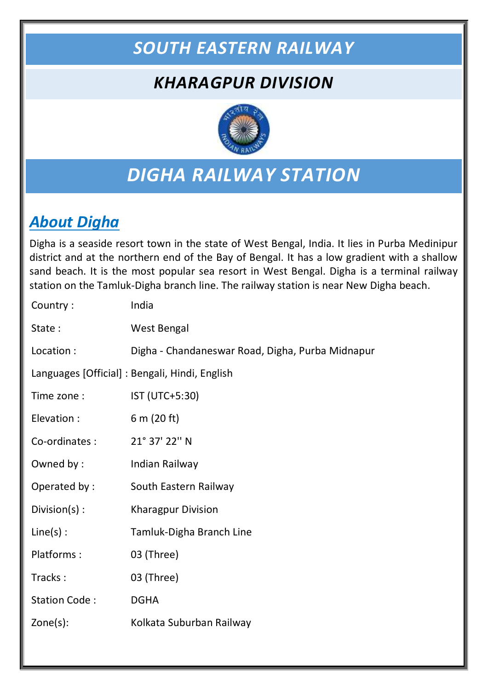## *SOUTH EASTERN RAILWAY*

## *KHARAGPUR DIVISION*



## *DIGHA RAILWAY STATION*

### *About Digha*

Digha is a seaside resort town in the state of West Bengal, India. It lies in Purba Medinipur district and at the northern end of the Bay of Bengal. It has a low gradient with a shallow sand beach. It is the most popular sea resort in West Bengal. Digha is a terminal railway station on the Tamluk-Digha branch line. The railway station is near New Digha beach.

| Country:             | India                                            |
|----------------------|--------------------------------------------------|
| State:               | <b>West Bengal</b>                               |
| Location :           | Digha - Chandaneswar Road, Digha, Purba Midnapur |
|                      | Languages [Official] : Bengali, Hindi, English   |
| Time zone:           | IST (UTC+5:30)                                   |
| Elevation :          | 6 m (20 ft)                                      |
| Co-ordinates :       | 21° 37' 22" N                                    |
| Owned by:            | Indian Railway                                   |
| Operated by:         | South Eastern Railway                            |
| Division(s):         | <b>Kharagpur Division</b>                        |
| $Line(s)$ :          | Tamluk-Digha Branch Line                         |
| Platforms:           | 03 (Three)                                       |
| Tracks:              | 03 (Three)                                       |
| <b>Station Code:</b> | <b>DGHA</b>                                      |
| $Zone(s)$ :          | Kolkata Suburban Railway                         |
|                      |                                                  |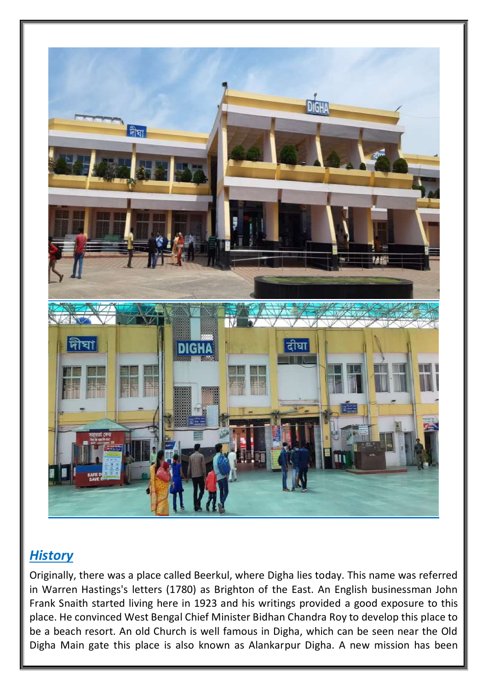

#### *History*

Originally, there was a place called Beerkul, where Digha lies today. This name was referred in Warren Hastings's letters (1780) as Brighton of the East. An English businessman John Frank Snaith started living here in 1923 and his writings provided a good exposure to this place. He convinced West Bengal Chief Minister Bidhan Chandra Roy to develop this place to be a beach resort. An old Church is well famous in Digha, which can be seen near the Old Digha Main gate this place is also known as Alankarpur Digha. A new mission has been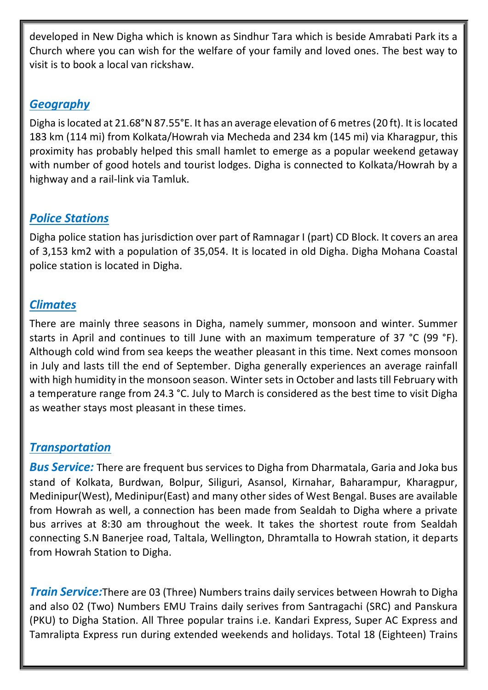developed in New Digha which is known as Sindhur Tara which is beside Amrabati Park its a Church where you can wish for the welfare of your family and loved ones. The best way to visit is to book a local van rickshaw.

#### *Geography*

Digha is located at 21.68°N 87.55°E. It has an average elevation of 6 metres (20 ft). It is located 183 km (114 mi) from Kolkata/Howrah via Mecheda and 234 km (145 mi) via Kharagpur, this proximity has probably helped this small hamlet to emerge as a popular weekend getaway with number of good hotels and tourist lodges. Digha is connected to Kolkata/Howrah by a highway and a rail-link via Tamluk.

#### *Police Stations*

Digha police station has jurisdiction over part of Ramnagar I (part) CD Block. It covers an area of 3,153 km2 with a population of 35,054. It is located in old Digha. Digha Mohana Coastal police station is located in Digha.

#### *Climates*

There are mainly three seasons in Digha, namely summer, monsoon and winter. Summer starts in April and continues to till June with an maximum temperature of 37 °C (99 °F). Although cold wind from sea keeps the weather pleasant in this time. Next comes monsoon in July and lasts till the end of September. Digha generally experiences an average rainfall with high humidity in the monsoon season. Winter sets in October and lasts till February with a temperature range from 24.3 °C. July to March is considered as the best time to visit Digha as weather stays most pleasant in these times.

#### *Transportation*

*Bus Service:* There are frequent bus services to Digha from Dharmatala, Garia and Joka bus stand of Kolkata, Burdwan, Bolpur, Siliguri, Asansol, Kirnahar, Baharampur, Kharagpur, Medinipur(West), Medinipur(East) and many other sides of West Bengal. Buses are available from Howrah as well, a connection has been made from Sealdah to Digha where a private bus arrives at 8:30 am throughout the week. It takes the shortest route from Sealdah connecting S.N Banerjee road, Taltala, Wellington, Dhramtalla to Howrah station, it departs from Howrah Station to Digha.

*Train Service:*There are 03 (Three) Numbers trains daily services between Howrah to Digha and also 02 (Two) Numbers EMU Trains daily serives from Santragachi (SRC) and Panskura (PKU) to Digha Station. All Three popular trains i.e. Kandari Express, Super AC Express and Tamralipta Express run during extended weekends and holidays. Total 18 (Eighteen) Trains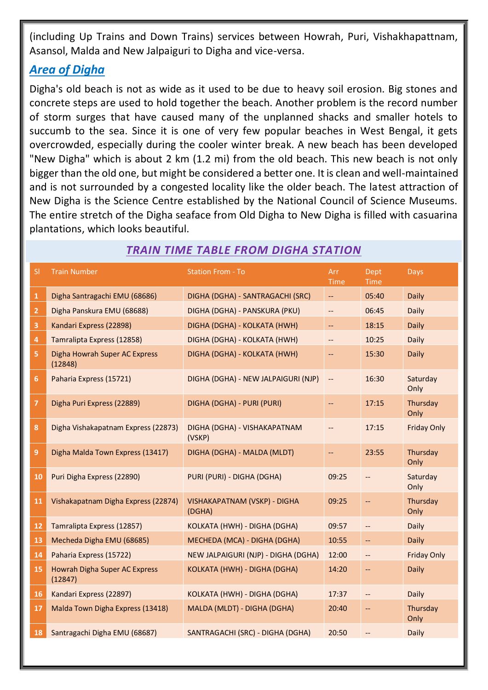(including Up Trains and Down Trains) services between Howrah, Puri, Vishakhapattnam, Asansol, Malda and New Jalpaiguri to Digha and vice-versa.

#### *Area of Digha*

Digha's old beach is not as wide as it used to be due to heavy soil erosion. Big stones and concrete steps are used to hold together the beach. Another problem is the record number of storm surges that have caused many of the unplanned shacks and smaller hotels to succumb to the sea. Since it is one of very few popular beaches in West Bengal, it gets overcrowded, especially during the cooler winter break. A new beach has been developed "New Digha" which is about 2 km (1.2 mi) from the old beach. This new beach is not only bigger than the old one, but might be considered a better one. It is clean and well-maintained and is not surrounded by a congested locality like the older beach. The latest attraction of New Digha is the Science Centre established by the National Council of Science Museums. The entire stretch of the Digha seaface from Old Digha to New Digha is filled with casuarina plantations, which looks beautiful.

| <b>SI</b>               | <b>Train Number</b>                      | <b>Station From - To</b>               | Arr<br><b>Time</b>       | Dept<br><b>Time</b>                                 | <b>Days</b>        |
|-------------------------|------------------------------------------|----------------------------------------|--------------------------|-----------------------------------------------------|--------------------|
| $\mathbf{1}$            | Digha Santragachi EMU (68686)            | DIGHA (DGHA) - SANTRAGACHI (SRC)       | $\overline{\phantom{a}}$ | 05:40                                               | Daily              |
| $\overline{2}$          | Digha Panskura EMU (68688)               | DIGHA (DGHA) - PANSKURA (PKU)          | --                       | 06:45                                               | <b>Daily</b>       |
| $\overline{\mathbf{3}}$ | Kandari Express (22898)                  | DIGHA (DGHA) - KOLKATA (HWH)           | $\overline{\phantom{m}}$ | 18:15                                               | Daily              |
| 4                       | Tamralipta Express (12858)               | DIGHA (DGHA) - KOLKATA (HWH)           | --                       | 10:25                                               | Daily              |
| 5                       | Digha Howrah Super AC Express<br>(12848) | DIGHA (DGHA) - KOLKATA (HWH)           | --                       | 15:30                                               | <b>Daily</b>       |
| 6                       | Paharia Express (15721)                  | DIGHA (DGHA) - NEW JALPAIGURI (NJP)    | --                       | 16:30                                               | Saturday<br>Only   |
| 7                       | Digha Puri Express (22889)               | DIGHA (DGHA) - PURI (PURI)             | --                       | 17:15                                               | Thursday<br>Only   |
| 8                       | Digha Vishakapatnam Express (22873)      | DIGHA (DGHA) - VISHAKAPATNAM<br>(VSKP) |                          | 17:15                                               | <b>Friday Only</b> |
| 9                       | Digha Malda Town Express (13417)         | DIGHA (DGHA) - MALDA (MLDT)            | --                       | 23:55                                               | Thursday<br>Only   |
| 10                      | Puri Digha Express (22890)               | PURI (PURI) - DIGHA (DGHA)             | 09:25                    | $\overline{\phantom{a}}$                            | Saturday<br>Only   |
| 11                      | Vishakapatnam Digha Express (22874)      | VISHAKAPATNAM (VSKP) - DIGHA<br>(DGHA) | 09:25                    | $\overline{\phantom{a}}$                            | Thursday<br>Only   |
| 12                      | Tamralipta Express (12857)               | KOLKATA (HWH) - DIGHA (DGHA)           | 09:57                    | $\overline{\phantom{a}}$                            | Daily              |
| 13                      | Mecheda Digha EMU (68685)                | MECHEDA (MCA) - DIGHA (DGHA)           | 10:55                    | $- \, -$                                            | <b>Daily</b>       |
| 14                      | Paharia Express (15722)                  | NEW JALPAIGURI (NJP) - DIGHA (DGHA)    | 12:00                    | $\overline{\phantom{m}}$                            | <b>Friday Only</b> |
| 15                      | Howrah Digha Super AC Express<br>(12847) | KOLKATA (HWH) - DIGHA (DGHA)           | 14:20                    | $-$                                                 | <b>Daily</b>       |
| <b>16</b>               | Kandari Express (22897)                  | KOLKATA (HWH) - DIGHA (DGHA)           | 17:37                    | $\hspace{0.05cm} -\hspace{0.05cm} -\hspace{0.05cm}$ | <b>Daily</b>       |
| 17                      | Malda Town Digha Express (13418)         | MALDA (MLDT) - DIGHA (DGHA)            | 20:40                    | $\overline{\phantom{a}}$                            | Thursday<br>Only   |
| <b>18</b>               | Santragachi Digha EMU (68687)            | SANTRAGACHI (SRC) - DIGHA (DGHA)       | 20:50                    |                                                     | Daily              |

#### *TRAIN TIME TABLE FROM DIGHA STATION*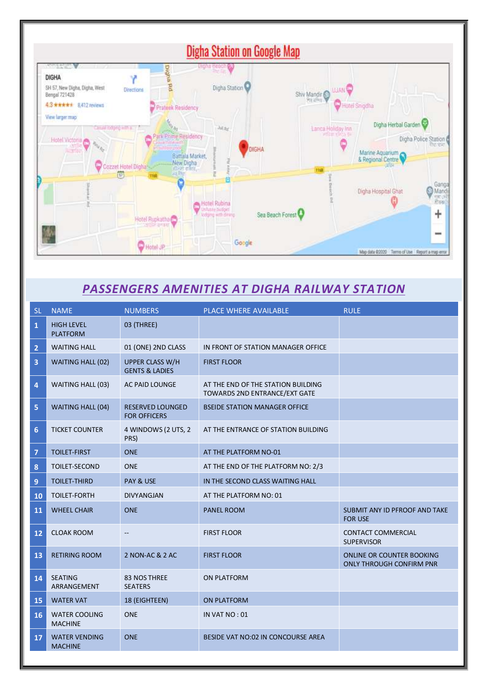

#### *PASSENGERS AMENITIES AT DIGHA RAILWAY STATION*

| <b>SL</b>        | <b>NAME</b>                            | <b>NUMBERS</b>                                      | <b>PLACE WHERE AVAILABLE</b>                                        | <b>RULE</b>                                                  |
|------------------|----------------------------------------|-----------------------------------------------------|---------------------------------------------------------------------|--------------------------------------------------------------|
| $\mathbf{1}$     | <b>HIGH LEVEL</b><br><b>PLATFORM</b>   | 03 (THREE)                                          |                                                                     |                                                              |
| $\overline{2}$   | <b>WAITING HALL</b>                    | 01 (ONE) 2ND CLASS                                  | IN FRONT OF STATION MANAGER OFFICE                                  |                                                              |
| 3                | WAITING HALL (02)                      | <b>UPPER CLASS W/H</b><br><b>GENTS &amp; LADIES</b> | <b>FIRST FLOOR</b>                                                  |                                                              |
| 4                | WAITING HALL (03)                      | AC PAID LOUNGE                                      | AT THE END OF THE STATION BUILDING<br>TOWARDS 2ND ENTRANCE/EXT GATE |                                                              |
| 5                | <b>WAITING HALL (04)</b>               | <b>RESERVED LOUNGED</b><br><b>FOR OFFICERS</b>      | <b>BSEIDE STATION MANAGER OFFICE</b>                                |                                                              |
| 6                | <b>TICKET COUNTER</b>                  | 4 WINDOWS (2 UTS, 2<br>PRS)                         | AT THE ENTRANCE OF STATION BUILDING                                 |                                                              |
| $\overline{7}$   | <b>TOILET-FIRST</b>                    | <b>ONE</b>                                          | AT THE PLATFORM NO-01                                               |                                                              |
| $\boldsymbol{8}$ | TOILET-SECOND                          | <b>ONE</b>                                          | AT THE END OF THE PLATFORM NO: 2/3                                  |                                                              |
| $\overline{9}$   | <b>TOILET-THIRD</b>                    | PAY & USE                                           | IN THE SECOND CLASS WAITING HALL                                    |                                                              |
| 10               | <b>TOILET-FORTH</b>                    | <b>DIVYANGJAN</b>                                   | AT THE PLATFORM NO: 01                                              |                                                              |
| 11               | <b>WHEEL CHAIR</b>                     | <b>ONE</b>                                          | <b>PANEL ROOM</b>                                                   | SUBMIT ANY ID PFROOF AND TAKE<br><b>FOR USE</b>              |
| 12               | <b>CLOAK ROOM</b>                      | $\overline{\phantom{a}}$                            | <b>FIRST FLOOR</b>                                                  | <b>CONTACT COMMERCIAL</b><br><b>SUPERVISOR</b>               |
| 13               | <b>RETIRING ROOM</b>                   | 2 NON-AC & 2 AC                                     | <b>FIRST FLOOR</b>                                                  | ONLINE OR COUNTER BOOKING<br><b>ONLY THROUGH CONFIRM PNR</b> |
| 14               | <b>SEATING</b><br>ARRANGEMENT          | 83 NOS THREE<br><b>SEATERS</b>                      | <b>ON PLATFORM</b>                                                  |                                                              |
| 15               | <b>WATER VAT</b>                       | 18 (EIGHTEEN)                                       | <b>ON PLATFORM</b>                                                  |                                                              |
| 16               | <b>WATER COOLING</b><br><b>MACHINE</b> | <b>ONE</b>                                          | IN VAT NO: 01                                                       |                                                              |
| 17               | <b>WATER VENDING</b><br><b>MACHINE</b> | <b>ONE</b>                                          | BESIDE VAT NO:02 IN CONCOURSE AREA                                  |                                                              |